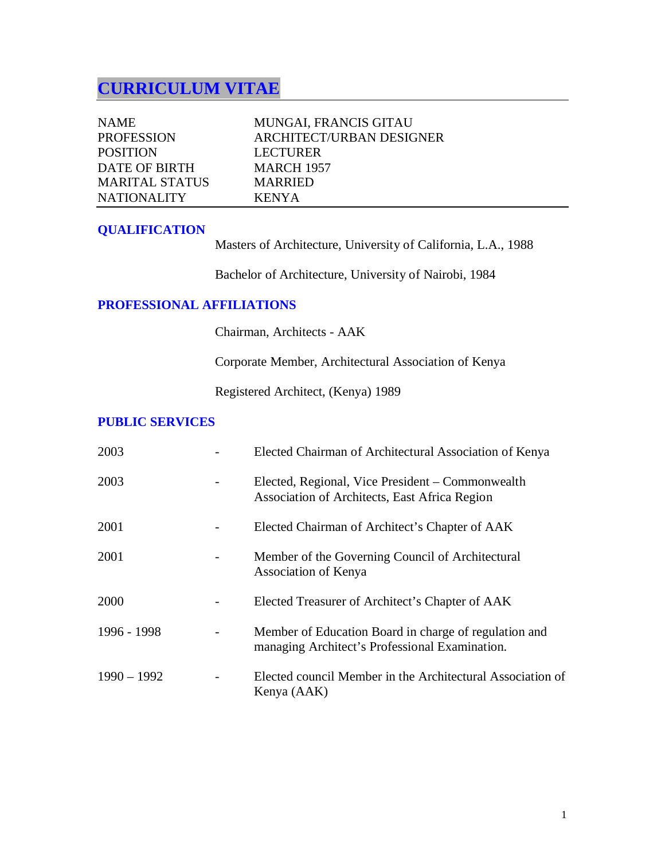# **CURRICULUM VITAE**

| <b>NAME</b>           | <b>MUNGAI, FRANCIS GITAU</b>    |
|-----------------------|---------------------------------|
| <b>PROFESSION</b>     | <b>ARCHITECT/URBAN DESIGNER</b> |
| <b>POSITION</b>       | <b>LECTURER</b>                 |
| DATE OF BIRTH         | <b>MARCH 1957</b>               |
| <b>MARITAL STATUS</b> | <b>MARRIED</b>                  |
| <b>NATIONALITY</b>    | <b>KENYA</b>                    |

### **QUALIFICATION**

Masters of Architecture, University of California, L.A., 1988

Bachelor of Architecture, University of Nairobi, 1984

# **PROFESSIONAL AFFILIATIONS**

Chairman, Architects - AAK

Corporate Member, Architectural Association of Kenya

Registered Architect, (Kenya) 1989

#### **PUBLIC SERVICES**

| 2003          | Elected Chairman of Architectural Association of Kenya                                                  |
|---------------|---------------------------------------------------------------------------------------------------------|
| 2003          | Elected, Regional, Vice President – Commonwealth<br>Association of Architects, East Africa Region       |
| 2001          | Elected Chairman of Architect's Chapter of AAK                                                          |
| 2001          | Member of the Governing Council of Architectural<br>Association of Kenya                                |
| 2000          | Elected Treasurer of Architect's Chapter of AAK                                                         |
| 1996 - 1998   | Member of Education Board in charge of regulation and<br>managing Architect's Professional Examination. |
| $1990 - 1992$ | Elected council Member in the Architectural Association of<br>Kenya (AAK)                               |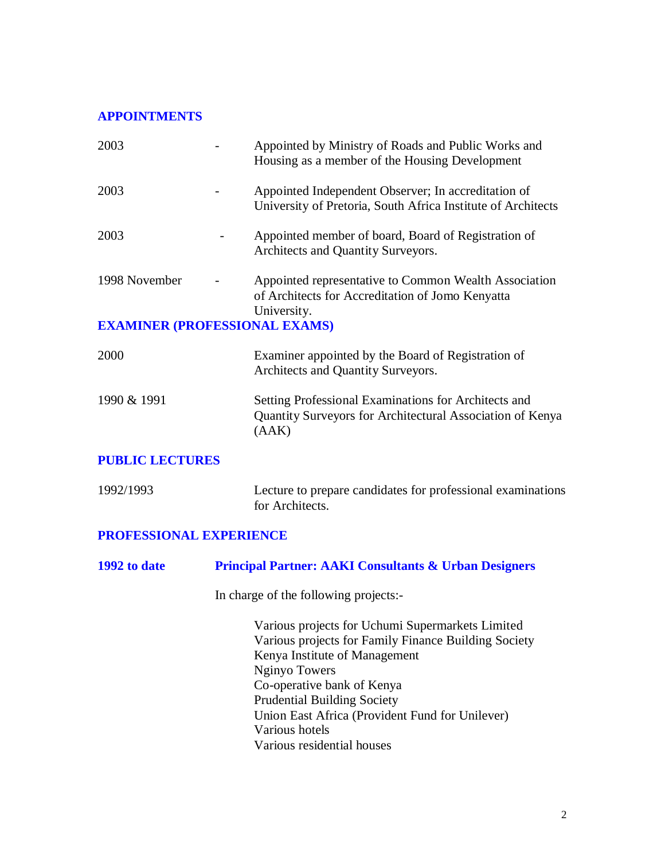#### **APPOINTMENTS**

| 2003                                 | Appointed by Ministry of Roads and Public Works and<br>Housing as a member of the Housing Development                                     |
|--------------------------------------|-------------------------------------------------------------------------------------------------------------------------------------------|
| 2003                                 | Appointed Independent Observer; In accreditation of<br>University of Pretoria, South Africa Institute of Architects                       |
| 2003                                 | Appointed member of board, Board of Registration of<br>Architects and Quantity Surveyors.                                                 |
| 1998 November                        | Appointed representative to Common Wealth Association<br>of Architects for Accreditation of Jomo Kenyatta<br>University.                  |
| <b>EXAMINER (PROFESSIONAL EXAMS)</b> |                                                                                                                                           |
| 2000                                 | Examiner appointed by the Board of Registration of<br>Architects and Quantity Surveyors.                                                  |
| 1990 & 1991                          | Setting Professional Examinations for Architects and<br>Quantity Surveyors for Architectural Association of Kenya<br>(AAK)                |
| <b>PUBLIC LECTURES</b>               |                                                                                                                                           |
| 1992/1993                            | Lecture to prepare candidates for professional examinations<br>for Architects.                                                            |
| <b>PROFESSIONAL EXPERIENCE</b>       |                                                                                                                                           |
| 1992 to date                         | <b>Principal Partner: AAKI Consultants &amp; Urban Designers</b>                                                                          |
|                                      | In charge of the following projects:-                                                                                                     |
|                                      | Various projects for Uchumi Supermarkets Limited<br>Various projects for Family Finance Building Society<br>Kenya Institute of Management |

Nginyo Towers

Various hotels

Co-operative bank of Kenya Prudential Building Society

Various residential houses

Union East Africa (Provident Fund for Unilever)

2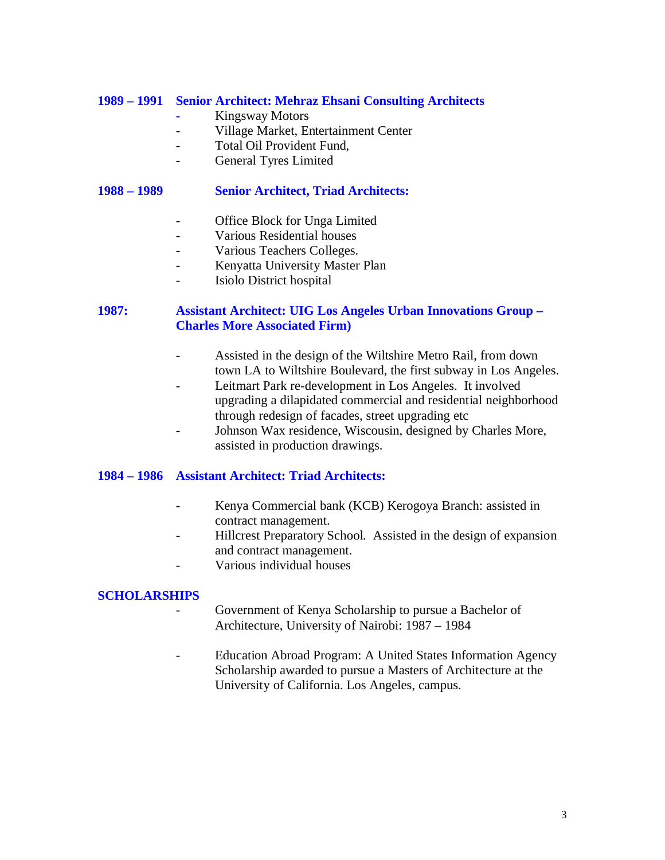#### **1989 – 1991 Senior Architect: Mehraz Ehsani Consulting Architects**

- **-** Kingsway Motors
- Village Market, Entertainment Center
- Total Oil Provident Fund.
- General Tyres Limited

#### **1988 – 1989 Senior Architect, Triad Architects:**

- Office Block for Unga Limited
- Various Residential houses
- Various Teachers Colleges.
- Kenyatta University Master Plan
- Isiolo District hospital

#### **1987: Assistant Architect: UIG Los Angeles Urban Innovations Group – Charles More Associated Firm)**

- Assisted in the design of the Wiltshire Metro Rail, from down town LA to Wiltshire Boulevard, the first subway in Los Angeles.
- Leitmart Park re-development in Los Angeles. It involved upgrading a dilapidated commercial and residential neighborhood through redesign of facades, street upgrading etc
- Johnson Wax residence, Wiscousin, designed by Charles More, assisted in production drawings.

#### **1984 – 1986 Assistant Architect: Triad Architects:**

- Kenya Commercial bank (KCB) Kerogoya Branch: assisted in contract management.
- Hillcrest Preparatory School. Assisted in the design of expansion and contract management.
- Various individual houses

#### **SCHOLARSHIPS**

- Government of Kenya Scholarship to pursue a Bachelor of Architecture, University of Nairobi: 1987 – 1984
- Education Abroad Program: A United States Information Agency Scholarship awarded to pursue a Masters of Architecture at the University of California. Los Angeles, campus.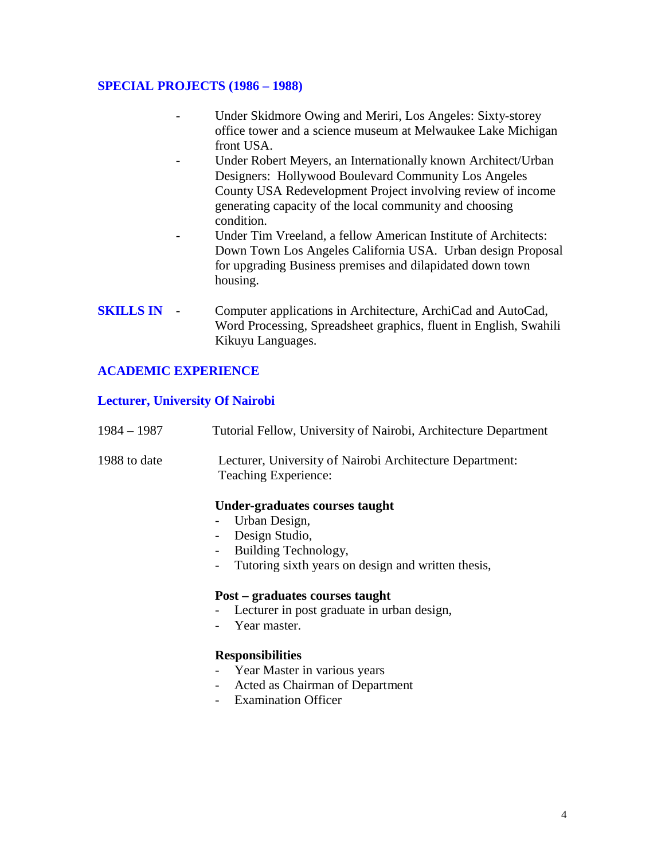#### **SPECIAL PROJECTS (1986 – 1988)**

- Under Skidmore Owing and Meriri, Los Angeles: Sixty-storey office tower and a science museum at Melwaukee Lake Michigan front USA.
- Under Robert Meyers, an Internationally known Architect/Urban Designers: Hollywood Boulevard Community Los Angeles County USA Redevelopment Project involving review of income generating capacity of the local community and choosing condition.
- Under Tim Vreeland, a fellow American Institute of Architects: Down Town Los Angeles California USA. Urban design Proposal for upgrading Business premises and dilapidated down town housing.
- **SKILLS IN** Computer applications in Architecture, ArchiCad and AutoCad, Word Processing, Spreadsheet graphics, fluent in English, Swahili Kikuyu Languages.

#### **ACADEMIC EXPERIENCE**

#### **Lecturer, University Of Nairobi**

| $1984 - 1987$ | Tutorial Fellow, University of Nairobi, Architecture Department                                                                                                                                                                     |
|---------------|-------------------------------------------------------------------------------------------------------------------------------------------------------------------------------------------------------------------------------------|
| 1988 to date  | Lecturer, University of Nairobi Architecture Department:<br>Teaching Experience:                                                                                                                                                    |
|               | Under-graduates courses taught<br>Urban Design,<br>Design Studio,<br>$\overline{\phantom{a}}$<br>Building Technology,<br>$\overline{\phantom{a}}$<br>Tutoring sixth years on design and written thesis,<br>$\overline{\phantom{0}}$ |
|               | Post – graduates courses taught<br>Lecturer in post graduate in urban design,<br>Year master.<br><b>Responsibilities</b><br>- Year Master in various years                                                                          |
|               | Acted as Chairman of Department                                                                                                                                                                                                     |

- Examination Officer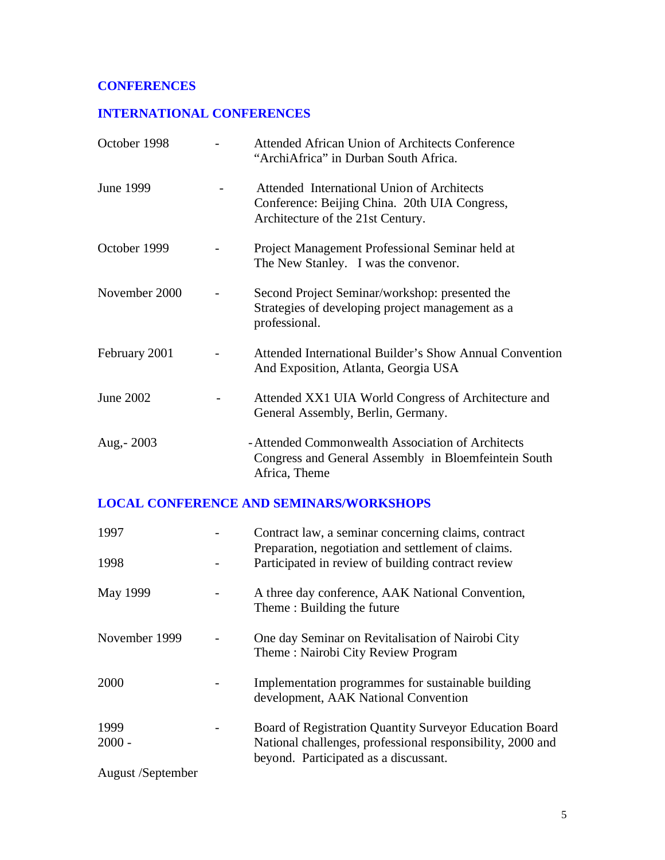# **CONFERENCES**

# **INTERNATIONAL CONFERENCES**

| October 1998  | Attended African Union of Architects Conference<br>"ArchiAfrica" in Durban South Africa.                                         |
|---------------|----------------------------------------------------------------------------------------------------------------------------------|
| June 1999     | Attended International Union of Architects<br>Conference: Beijing China. 20th UIA Congress,<br>Architecture of the 21st Century. |
| October 1999  | Project Management Professional Seminar held at<br>The New Stanley. I was the convenor.                                          |
| November 2000 | Second Project Seminar/workshop: presented the<br>Strategies of developing project management as a<br>professional.              |
| February 2001 | Attended International Builder's Show Annual Convention<br>And Exposition, Atlanta, Georgia USA                                  |
| June 2002     | Attended XX1 UIA World Congress of Architecture and<br>General Assembly, Berlin, Germany.                                        |
| Aug, - 2003   | - Attended Commonwealth Association of Architects<br>Congress and General Assembly in Bloemfeintein South<br>Africa, Theme       |

# **LOCAL CONFERENCE AND SEMINARS/WORKSHOPS**

| 1997              | Contract law, a seminar concerning claims, contract<br>Preparation, negotiation and settlement of claims. |
|-------------------|-----------------------------------------------------------------------------------------------------------|
| 1998              | Participated in review of building contract review                                                        |
| May 1999          | A three day conference, AAK National Convention,<br>Theme: Building the future                            |
| November 1999     | One day Seminar on Revitalisation of Nairobi City<br>Theme: Nairobi City Review Program                   |
| 2000              | Implementation programmes for sustainable building<br>development, AAK National Convention                |
| 1999              | Board of Registration Quantity Surveyor Education Board                                                   |
| $2000 -$          | National challenges, professional responsibility, 2000 and<br>beyond. Participated as a discussant.       |
| August /September |                                                                                                           |